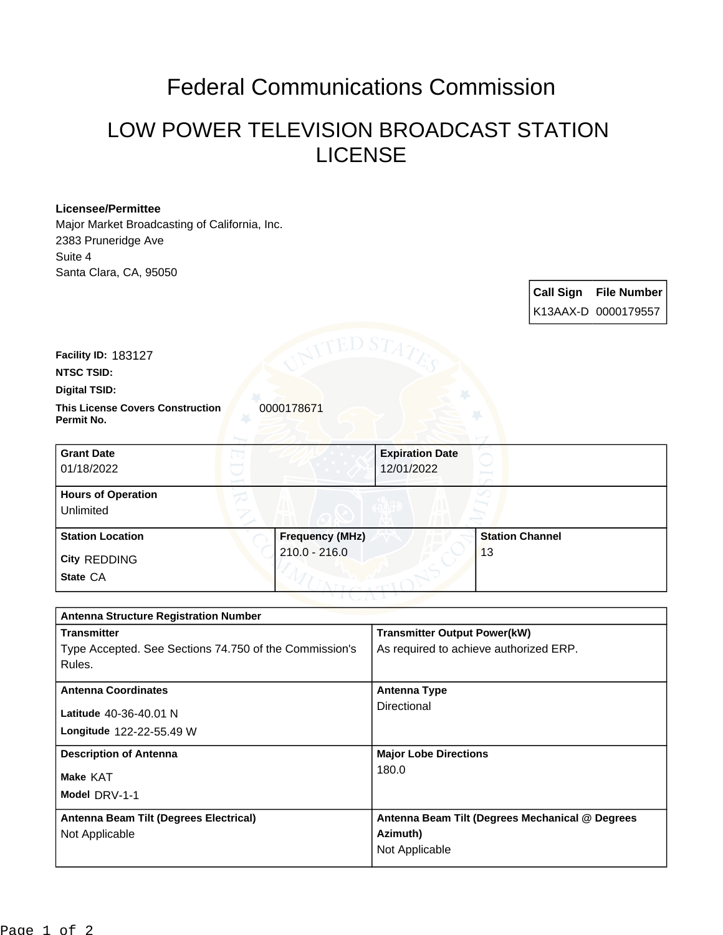# Federal Communications Commission

## LOW POWER TELEVISION BROADCAST STATION LICENSE

### **Licensee/Permittee**

Major Market Broadcasting of California, Inc. 2383 Pruneridge Ave Suite 4 Santa Clara, CA, 95050

> **Call Sign File Number** K13AAX-D 0000179557

**Facility ID:** 183127

**NTSC TSID:**

#### **Digital TSID:**

**This License Covers Construction**  0000178671 **Permit No.**

| <b>Grant Date</b><br>01/18/2022        |                        | <b>Expiration Date</b><br>12/01/2022 |                        |  |
|----------------------------------------|------------------------|--------------------------------------|------------------------|--|
| <b>Hours of Operation</b><br>Unlimited |                        |                                      |                        |  |
| <b>Station Location</b>                | <b>Frequency (MHz)</b> |                                      | <b>Station Channel</b> |  |
| <b>City REDDING</b><br>State CA        | $210.0 - 216.0$        |                                      | 13                     |  |

| <b>Antenna Structure Registration Number</b>           |                                                 |  |  |
|--------------------------------------------------------|-------------------------------------------------|--|--|
| <b>Transmitter</b>                                     | <b>Transmitter Output Power(kW)</b>             |  |  |
| Type Accepted. See Sections 74.750 of the Commission's | As required to achieve authorized ERP.          |  |  |
| Rules.                                                 |                                                 |  |  |
| <b>Antenna Coordinates</b>                             | <b>Antenna Type</b>                             |  |  |
|                                                        |                                                 |  |  |
| Latitude 40-36-40.01 N                                 | Directional                                     |  |  |
| Longitude 122-22-55.49 W                               |                                                 |  |  |
| <b>Description of Antenna</b>                          | <b>Major Lobe Directions</b>                    |  |  |
| Make KAT                                               | 180.0                                           |  |  |
| Model DRV-1-1                                          |                                                 |  |  |
|                                                        |                                                 |  |  |
| Antenna Beam Tilt (Degrees Electrical)                 | Antenna Beam Tilt (Degrees Mechanical @ Degrees |  |  |
| Not Applicable                                         | Azimuth)                                        |  |  |
|                                                        | Not Applicable                                  |  |  |
|                                                        |                                                 |  |  |